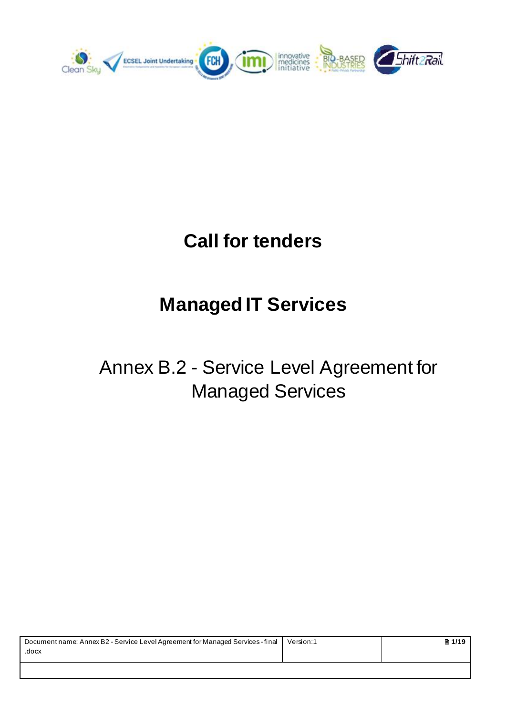

# **Call for tenders**

# **Managed IT Services**

# Annex B.2 - Service Level Agreement for Managed Services

| Document name: Annex B2 - Service Level Agreement for Managed Services - final | Version:1 | ■ 1/19 |
|--------------------------------------------------------------------------------|-----------|--------|
| .docx                                                                          |           |        |
|                                                                                |           |        |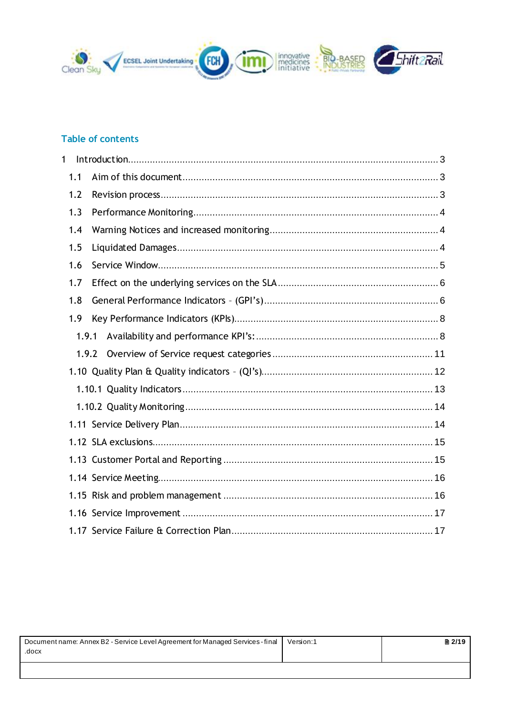

# Table of contents

| 1   |       |  |
|-----|-------|--|
| 1.1 |       |  |
| 1.2 |       |  |
| 1.3 |       |  |
| 1.4 |       |  |
| 1.5 |       |  |
| 1.6 |       |  |
| 1.7 |       |  |
| 1.8 |       |  |
| 1.9 |       |  |
|     | 1.9.1 |  |
|     | 1.9.2 |  |
|     |       |  |
|     |       |  |
|     |       |  |
|     |       |  |
|     |       |  |
|     |       |  |
|     |       |  |
|     |       |  |
|     |       |  |
|     |       |  |

| Document name: Annex B2 - Service Level Agreement for Managed Services - final<br>.docx | Version:1 | 2/19 |
|-----------------------------------------------------------------------------------------|-----------|------|
|                                                                                         |           |      |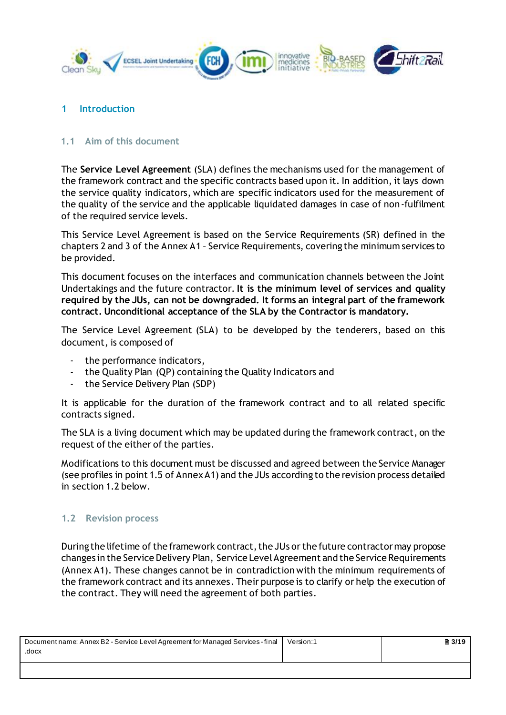

#### <span id="page-2-0"></span>**1 Introduction**

#### <span id="page-2-1"></span>**1.1 Aim of this document**

The **Service Level Agreement** (SLA) defines the mechanisms used for the management of the framework contract and the specific contracts based upon it. In addition, it lays down the service quality indicators, which are specific indicators used for the measurement of the quality of the service and the applicable liquidated damages in case of non-fulfilment of the required service levels.

This Service Level Agreement is based on the Service Requirements (SR) defined in the chapters 2 and 3 of the Annex A1 – Service Requirements, covering the minimum services to be provided.

This document focuses on the interfaces and communication channels between the Joint Undertakings and the future contractor. **It is the minimum level of services and quality required by the JUs, can not be downgraded. It forms an integral part of the framework contract. Unconditional acceptance of the SLA by the Contractor is mandatory.**

The Service Level Agreement (SLA) to be developed by the tenderers, based on this document, is composed of

- the performance indicators,
- the Quality Plan (QP) containing the Quality Indicators and
- the Service Delivery Plan (SDP)

It is applicable for the duration of the framework contract and to all related specific contracts signed.

The SLA is a living document which may be updated during the framework contract, on the request of the either of the parties.

Modifications to this document must be discussed and agreed between the Service Manager (see profiles in point 1.5 of Annex A1) and the JUs according to the revision process detailed in section 1.2 below.

#### <span id="page-2-2"></span>**1.2 Revision process**

During the lifetime of the framework contract, the JUs or the future contractormay propose changes in the Service Delivery Plan, Service Level Agreement and the Service Requirements (Annex A1). These changes cannot be in contradiction with the minimum requirements of the framework contract and its annexes. Their purpose is to clarify or help the execution of the contract. They will need the agreement of both parties.

| Document name: Annex B2 - Service Level Agreement for Managed Services - final | Version:1 | ■ 3/19 |
|--------------------------------------------------------------------------------|-----------|--------|
| .docx                                                                          |           |        |
|                                                                                |           |        |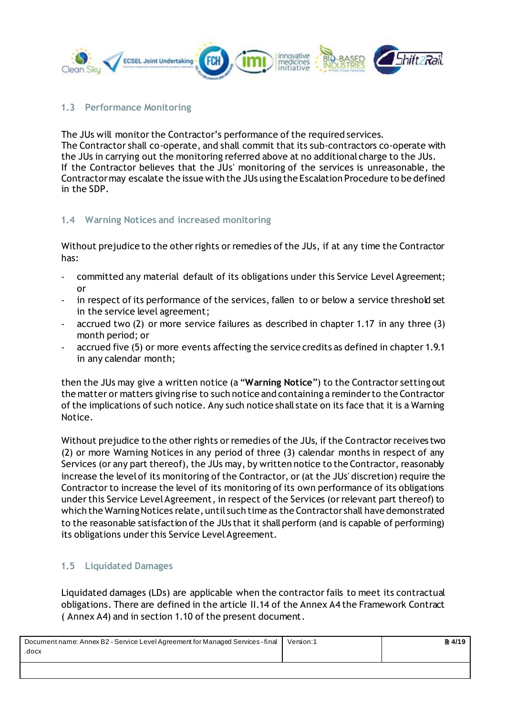

# <span id="page-3-0"></span>**1.3 Performance Monitoring**

The JUs will monitor the Contractor's performance of the required services. The Contractor shall co-operate, and shall commit that its sub-contractors co-operate with the JUs in carrying out the monitoring referred above at no additional charge to the JUs. If the Contractor believes that the JUs' monitoring of the services is unreasonable, the Contractor may escalate the issue with the JUs using the Escalation Procedure to be defined in the SDP.

# <span id="page-3-1"></span>**1.4 Warning Notices and increased monitoring**

Without prejudice to the other rights or remedies of the JUs, if at any time the Contractor has:

- committed any material default of its obligations under this Service Level Agreement; or
- in respect of its performance of the services, fallen to or below a service threshold set in the service level agreement;
- accrued two (2) or more service failures as described in chapter 1.17 in any three (3) month period; or
- accrued five (5) or more events affecting the service credits as defined in chapter 1.9.1 in any calendar month;

then the JUs may give a written notice (a "**Warning Notice**") to the Contractor setting out the matter or matters giving rise to such notice and containing a reminder to the Contractor of the implications of such notice. Any such notice shall state on its face that it is a Warning Notice.

Without prejudice to the other rights or remedies of the JUs, if the Contractor receives two (2) or more Warning Notices in any period of three (3) calendar months in respect of any Services (or any part thereof), the JUs may, by written notice to the Contractor, reasonably increase the level of its monitoring of the Contractor, or (at the JUs' discretion) require the Contractor to increase the level of its monitoring of its own performance of its obligations under this Service Level Agreement, in respect of the Services (or relevant part thereof) to which the Warning Notices relate, until such time as the Contractor shall have demonstrated to the reasonable satisfaction of the JUs that it shall perform (and is capable of performing) its obligations under this Service Level Agreement.

# <span id="page-3-2"></span>**1.5 Liquidated Damages**

Liquidated damages (LDs) are applicable when the contractor fails to meet its contractual obligations. There are defined in the article II.14 of the Annex A4 the Framework Contract ( Annex A4) and in section 1.10 of the present document.

| Document name: Annex B2 - Service Level Agreement for Managed Services - final | Version:1 | ■ 4/19 |
|--------------------------------------------------------------------------------|-----------|--------|
| .docx                                                                          |           |        |
|                                                                                |           |        |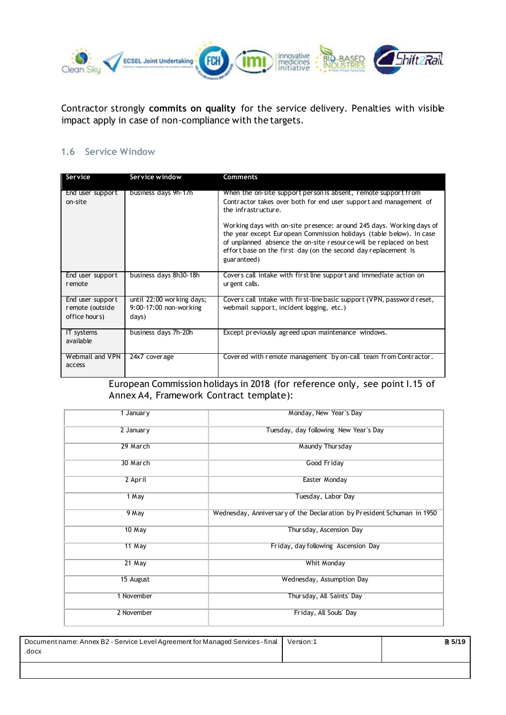

Contractor strongly **commits on quality** for the service delivery. Penalties with visible impact apply in case of non-compliance with the targets.

#### <span id="page-4-0"></span>**1.6 Service Window**

| Service                                              | Service window                                               | <b>Comments</b>                                                                                                                                                                                                                                                                                     |
|------------------------------------------------------|--------------------------------------------------------------|-----------------------------------------------------------------------------------------------------------------------------------------------------------------------------------------------------------------------------------------------------------------------------------------------------|
| End user support<br>on-site                          | business days 9h-17h                                         | When the on-site support person is absent, remote support from<br>Contractor takes over both for end user support and management of<br>the infrastructure.                                                                                                                                          |
|                                                      |                                                              | Working days with on-site presence: around 245 days. Working days of<br>the year except European Commission holidays (table below). In case<br>of unplanned absence the on-site resource will be replaced on best<br>effort base on the first day (on the second day replacement is<br>guar anteed) |
| End user support<br>remote                           | business days 8h30-18h                                       | Covers call intake with first line support and immediate action on<br>ur gent calls.                                                                                                                                                                                                                |
| End user support<br>remote (outside<br>office hours) | until 22:00 working days;<br>9:00-17:00 non-working<br>days) | Covers call intake with first-line basic support (VPN, password reset,<br>webmail support, incident logging, etc.)                                                                                                                                                                                  |
| IT systems<br>available                              | business days 7h-20h                                         | Except previously agreed upon maintenance windows.                                                                                                                                                                                                                                                  |
| Webmail and VPN<br>access                            | 24x7 coverage                                                | Covered with remote management by on-call team from Contractor.                                                                                                                                                                                                                                     |

European Commission holidays in 2018 (for reference only, see point I.15 of Annex A4, Framework Contract template):

| 1 January  | Monday, New Year's Day                                                 |
|------------|------------------------------------------------------------------------|
| 2 January  | Tuesday, day following New Year's Day                                  |
| 29 March   | Maundy Thursday                                                        |
| 30 March   | Good Friday                                                            |
| 2 April    | Easter Monday                                                          |
| 1 May      | Tuesday, Labor Day                                                     |
| 9 May      | Wednesday, Anniversary of the Declaration by President Schuman in 1950 |
| $10$ May   | Thursday, Ascension Day                                                |
| $11$ May   | Friday, day following Ascension Day                                    |
| $21$ May   | Whit Monday                                                            |
| 15 August  | Wednesday, Assumption Day                                              |
| 1 November | Thursday, All Saints' Day                                              |
|            |                                                                        |
| 2 November | Friday, All Souls' Day                                                 |

| Document name: Annex B2 - Service Level Agreement for Managed Services - final<br>.docx | Version:1 | ■ 5/19 |
|-----------------------------------------------------------------------------------------|-----------|--------|
|                                                                                         |           |        |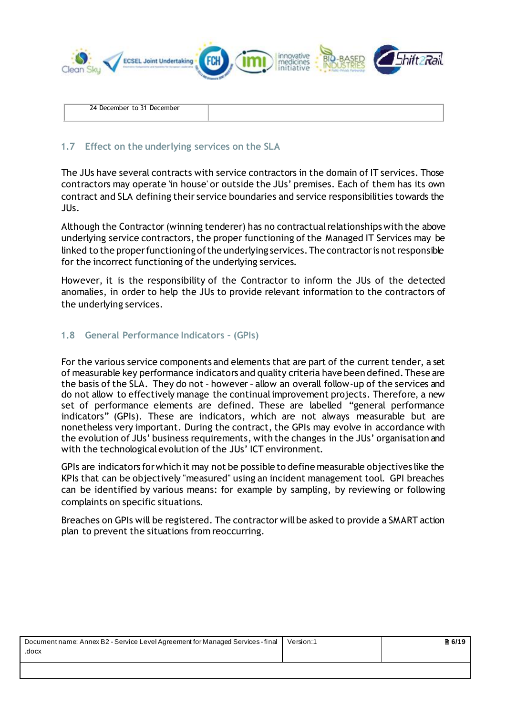

#### <span id="page-5-0"></span>**1.7 Effect on the underlying services on the SLA**

The JUs have several contracts with service contractors in the domain of IT services. Those contractors may operate 'in house' or outside the JUs' premises. Each of them has its own contract and SLA defining their service boundaries and service responsibilities towards the JUs.

Although the Contractor(winning tenderer) has no contractual relationships with the above underlying service contractors, the proper functioning of the Managed IT Services may be linked to the proper functioning of the underlying services. The contractor is not responsible for the incorrect functioning of the underlying services.

However, it is the responsibility of the Contractor to inform the JUs of the detected anomalies, in order to help the JUs to provide relevant information to the contractors of the underlying services.

#### <span id="page-5-1"></span>**1.8 General Performance Indicators – (GPIs)**

For the various service components and elements that are part of the current tender, a set of measurable key performance indicators and quality criteria have been defined. These are the basis of the SLA. They do not – however – allow an overall follow-up of the services and do not allow to effectively manage the continual improvement projects. Therefore, a new set of performance elements are defined. These are labelled "general performance indicators" (GPIs). These are indicators, which are not always measurable but are nonetheless very important. During the contract, the GPIs may evolve in accordance with the evolution of JUs' business requirements, with the changes in the JUs' organisation and with the technological evolution of the JUs' ICT environment.

GPIs are indicators for which it may not be possible to define measurable objectives like the KPIs that can be objectively "measured" using an incident management tool. GPI breaches can be identified by various means: for example by sampling, by reviewing or following complaints on specific situations.

Breaches on GPIs will be registered. The contractor will be asked to provide a SMART action plan to prevent the situations from reoccurring.

| Document name: Annex B2 - Service Level Agreement for Managed Services - final | Version:1 | ■ 6/19 |
|--------------------------------------------------------------------------------|-----------|--------|
| .docx                                                                          |           |        |
|                                                                                |           |        |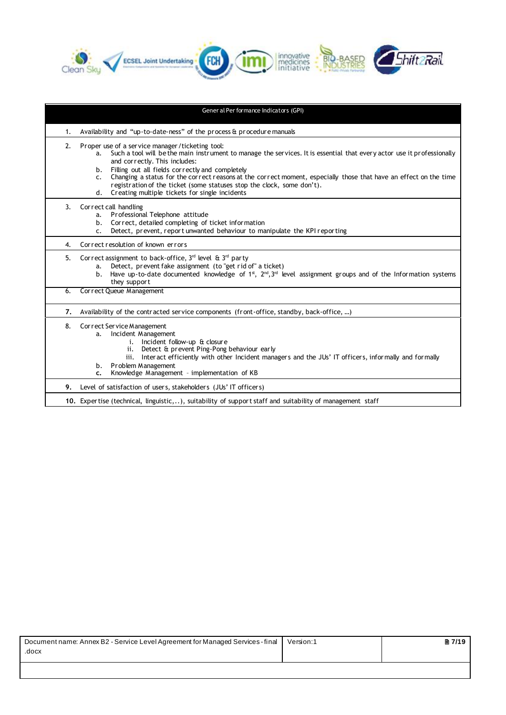

|    | Gener al Per formance Indicators (GPI)                                                                                                                                                                                                                                                                                                                                                                                                                                                                                              |
|----|-------------------------------------------------------------------------------------------------------------------------------------------------------------------------------------------------------------------------------------------------------------------------------------------------------------------------------------------------------------------------------------------------------------------------------------------------------------------------------------------------------------------------------------|
| 1. | Availability and "up-to-date-ness" of the process & procedure manuals                                                                                                                                                                                                                                                                                                                                                                                                                                                               |
| 2. | Proper use of a service manager/ticketing tool:<br>Such a tool will be the main instrument to manage the services. It is essential that every actor use it professionally<br>a.<br>and correctly. This includes:<br>Filling out all fields correctly and completely<br>b.<br>Changing a status for the correct reasons at the correct moment, especially those that have an effect on the time<br>c.<br>registration of the ticket (some statuses stop the clock, some don't).<br>d. Creating multiple tickets for single incidents |
| 3. | Correct call handling<br>Professional Telephone attitude<br>a.<br>Correct, detailed completing of ticket information<br>b.<br>Detect, prevent, report unwanted behaviour to manipulate the KPI reporting<br>$\mathsf{C}$ .                                                                                                                                                                                                                                                                                                          |
| 4. | Correct resolution of known errors                                                                                                                                                                                                                                                                                                                                                                                                                                                                                                  |
| 5. | Correct assignment to back-office, $3^{rd}$ level & $3^{rd}$ party<br>Detect, prevent fake assignment (to "get rid of" a ticket)<br>a.<br>Have up-to-date documented knowledge of 1 <sup>st</sup> , $2^{nd}$ , $3^{rd}$ level assignment groups and of the Information systems<br>b.<br>they support                                                                                                                                                                                                                                |
| 6. | Correct Queue Management                                                                                                                                                                                                                                                                                                                                                                                                                                                                                                            |
| 7. | Availability of the contracted service components (front-office, standby, back-office, )                                                                                                                                                                                                                                                                                                                                                                                                                                            |
| 8. | Correct Service Management<br>Incident Management<br>a.<br>i. Incident follow-up & closure<br>ii. Detect & prevent Ping-Pong behaviour early<br>Interact efficiently with other Incident managers and the JUs' IT officers, informally and formally<br>iii.<br>Problem Management<br>b.<br>Knowledge Management - implementation of KB<br>c.                                                                                                                                                                                        |
| 9. | Level of satisfaction of users, stakeholders (JUs' IT officers)                                                                                                                                                                                                                                                                                                                                                                                                                                                                     |
|    | 10. Expertise (technical, linguistic,), suitability of support staff and suitability of management staff                                                                                                                                                                                                                                                                                                                                                                                                                            |

| Document name: Annex B2 - Service Level Agreement for Managed Services - final<br>.docx | Version:1 | $\binom{2}{1}$ |
|-----------------------------------------------------------------------------------------|-----------|----------------|
|                                                                                         |           |                |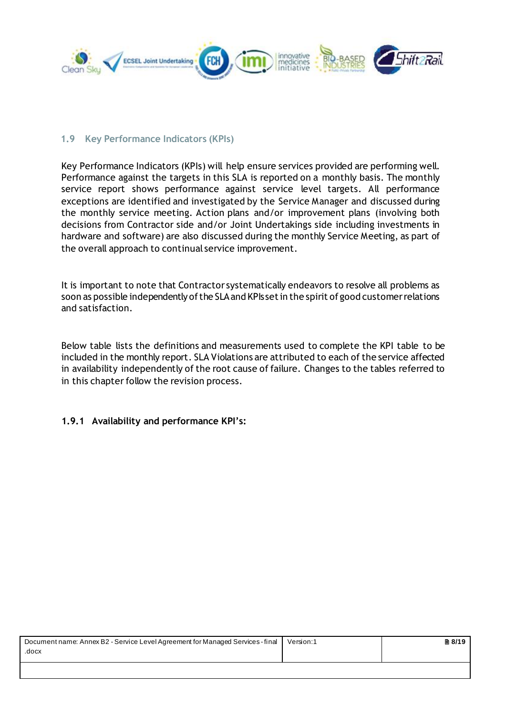

#### <span id="page-7-0"></span>**1.9 Key Performance Indicators (KPIs)**

Key Performance Indicators (KPIs) will help ensure services provided are performing well. Performance against the targets in this SLA is reported on a monthly basis. The monthly service report shows performance against service level targets. All performance exceptions are identified and investigated by the Service Manager and discussed during the monthly service meeting. Action plans and/or improvement plans (involving both decisions from Contractor side and/or Joint Undertakings side including investments in hardware and software) are also discussed during the monthly Service Meeting, as part of the overall approach to continual service improvement.

It is important to note that Contractor systematically endeavors to resolve all problems as soon as possible independently of the SLA and KPIs set in the spirit of good customerrelations and satisfaction.

Below table lists the definitions and measurements used to complete the KPI table to be included in the monthly report. SLA Violations are attributed to each of the service affected in availability independently of the root cause of failure. Changes to the tables referred to in this chapter follow the revision process.

# <span id="page-7-1"></span>**1.9.1 Availability and performance KPI's:**

| Document name: Annex B2 - Service Level Agreement for Managed Services - final<br>.docx | Version:1 | ■ 8/19 |
|-----------------------------------------------------------------------------------------|-----------|--------|
|                                                                                         |           |        |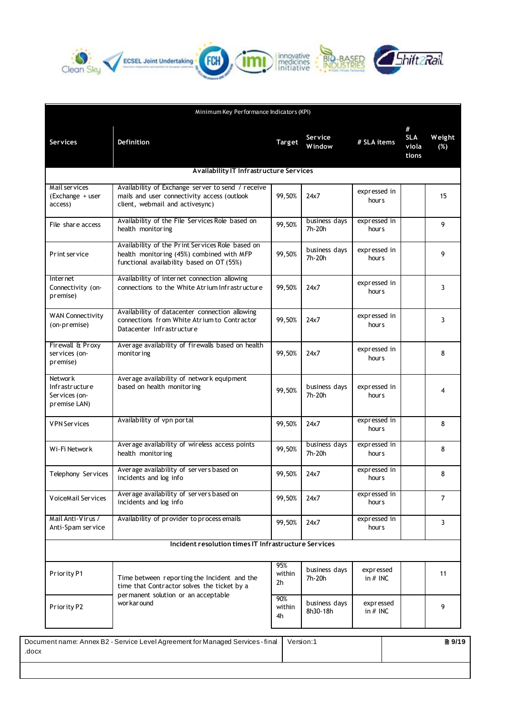





| Minimum Key Performance Indicators (KPI)                   |                                                                                                                                            |                     |                           |                                   |                                   |                |
|------------------------------------------------------------|--------------------------------------------------------------------------------------------------------------------------------------------|---------------------|---------------------------|-----------------------------------|-----------------------------------|----------------|
| <b>Services</b>                                            | Definition                                                                                                                                 | Target              | Service<br><b>Window</b>  | # SLA items                       | #<br><b>SLA</b><br>viola<br>tions | Weight<br>(%)  |
|                                                            | Availability IT Infrastructure Services                                                                                                    |                     |                           |                                   |                                   |                |
| Mail services<br>(Exchange + user<br>access)               | Availability of Exchange server to send / receive<br>mails and user connectivity access (outlook<br>client, webmail and activesync)        | 99,50%              | 24x7                      | expressed in<br>hour <sub>s</sub> |                                   | 15             |
| File share access                                          | Availability of the File Services Role based on<br>health monitoring                                                                       | 99,50%              | business days<br>7h-20h   | expressed in<br>hour <sub>s</sub> |                                   | 9              |
| Print service                                              | Availability of the Print Services Role based on<br>health monitoring (45%) combined with MFP<br>functional availability based on OT (55%) | 99,50%              | business days<br>7h-20h   | expressed in<br>hour <sub>s</sub> |                                   | 9              |
| Inter net<br>Connectivity (on-<br>premise)                 | Availability of internet connection allowing<br>connections to the White Atrium Infrastructure                                             | 99.50%              | 24x7                      | expressed in<br>hour <sub>s</sub> |                                   | 3              |
| <b>WAN Connectivity</b><br>(on-premise)                    | Availability of datacenter connection allowing<br>connections from White Atrium to Contractor<br>Datacenter Infrastructure                 | 99,50%              | 24x7                      | expressed in<br>hours             |                                   | 3              |
| Firewall & Proxy<br>services (on-<br>premise)              | Average availability of firewalls based on health<br>monitor ing                                                                           | 99,50%              | 24x7                      | expressed in<br>hour <sub>s</sub> |                                   | 8              |
| Network<br>Infrastructure<br>Services (on-<br>premise LAN) | Average availability of network equipment<br>based on health monitoring                                                                    | 99,50%              | business days<br>7h-20h   | expressed in<br>hours             |                                   | 4              |
| <b>VPN</b> Services                                        | Availability of vpn portal                                                                                                                 | 99,50%              | 24x7                      | expressed in<br>hours             |                                   | 8              |
| Wi-Fi Network                                              | Average availability of wireless access points<br>health monitoring                                                                        | 99,50%              | business days<br>7h-20h   | expressed in<br>hours             |                                   | 8              |
| Telephony Services                                         | Average availability of servers based on<br>incidents and log info                                                                         | 99,50%              | 24x7                      | expressed in<br>hours             |                                   | 8              |
| VoiceMail Services                                         | Average availability of servers based on<br>incidents and log info                                                                         | 99,50%              | 24x7                      | expressed in<br>hours             |                                   | $\overline{7}$ |
| Mail Anti-Virus /<br>Anti-Spam service                     | Availability of provider to process emails                                                                                                 | 99,50%              | 24x7                      | expressed in<br>hours             |                                   | $\mathbf{3}$   |
| Incident resolution times IT Infrastructure Services       |                                                                                                                                            |                     |                           |                                   |                                   |                |
| Priority P1                                                | Time between reporting the Incident and the<br>time that Contractor solves the ticket by a                                                 | 95%<br>within<br>2h | business days<br>7h-20h   | expressed<br>in $#$ INC           |                                   | 11             |
| Priority P2                                                | permanent solution or an acceptable<br>wor kar ound                                                                                        | 90%<br>within<br>4h | business days<br>8h30-18h | expressed<br>in $#$ INC           |                                   | 9              |

| Document name: Annex B2 - Service Level Agreement for Managed Services - final<br>.docx | Version:1 | ■ 9/19 |
|-----------------------------------------------------------------------------------------|-----------|--------|
|                                                                                         |           |        |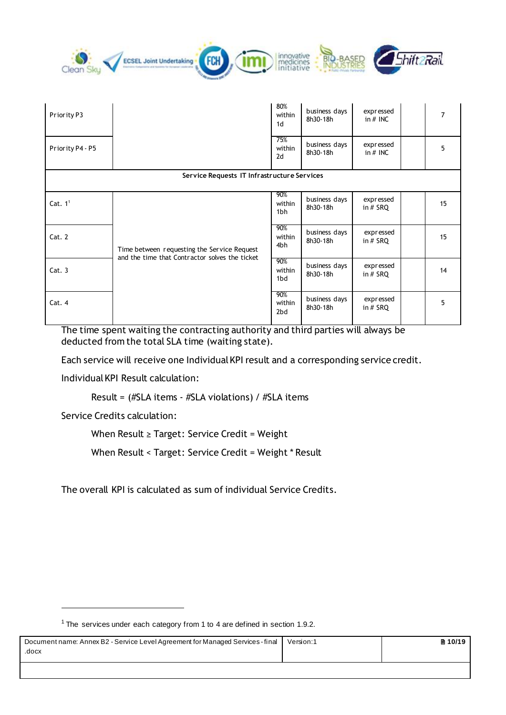| Clean Sky Y ECSEL Joint Undertaking FCH FORD Innovative - BIO-BASER Shift 2 Rail |  |  |
|----------------------------------------------------------------------------------|--|--|
|----------------------------------------------------------------------------------|--|--|

| Priority P3      |                                                                                               | 80%<br>within<br>1 <sub>d</sub> | business days<br>8h30-18h | expressed<br>in $#$ INC |  | $\overline{7}$ |
|------------------|-----------------------------------------------------------------------------------------------|---------------------------------|---------------------------|-------------------------|--|----------------|
| Priority P4 - P5 |                                                                                               | 75%<br>within<br>2d             | business days<br>8h30-18h | expressed<br>in $#$ INC |  | 5              |
|                  | Service Requests IT Infrastructure Services                                                   |                                 |                           |                         |  |                |
| Cat. $11$        |                                                                                               | 90%<br>within<br>1bh            | business days<br>8h30-18h | expressed<br>in $#$ SRQ |  | 15             |
| Cat. 2           | Time between requesting the Service Request<br>and the time that Contractor solves the ticket | 90%<br>within<br>4bh            | business days<br>8h30-18h | expressed<br>in $#$ SRQ |  | 15             |
| Cat.3            |                                                                                               | 90%<br>within<br>1bd            | business days<br>8h30-18h | expressed<br>in $#$ SRQ |  | 14             |
| Cat. 4           |                                                                                               | 90%<br>within<br>2bd            | business days<br>8h30-18h | expressed<br>in $#$ SRQ |  | 5              |

The time spent waiting the contracting authority and third parties will always be deducted from the total SLA time (waiting state).

Each service will receive one Individual KPI result and a corresponding service credit.

Individual KPI Result calculation:

Result = (#SLA items - #SLA violations) / #SLA items

Service Credits calculation:

 $\overline{a}$ 

When Result ≥ Target: Service Credit = Weight

When Result < Target: Service Credit = Weight \* Result

The overall KPI is calculated as sum of individual Service Credits.

| Document name: Annex B2 - Service Level Agreement for Managed Services - final<br>.docx | Version:1 | ■ 10/19 |
|-----------------------------------------------------------------------------------------|-----------|---------|
|                                                                                         |           |         |

<sup>&</sup>lt;sup>1</sup> The services under each category from 1 to 4 are defined in section 1.9.2.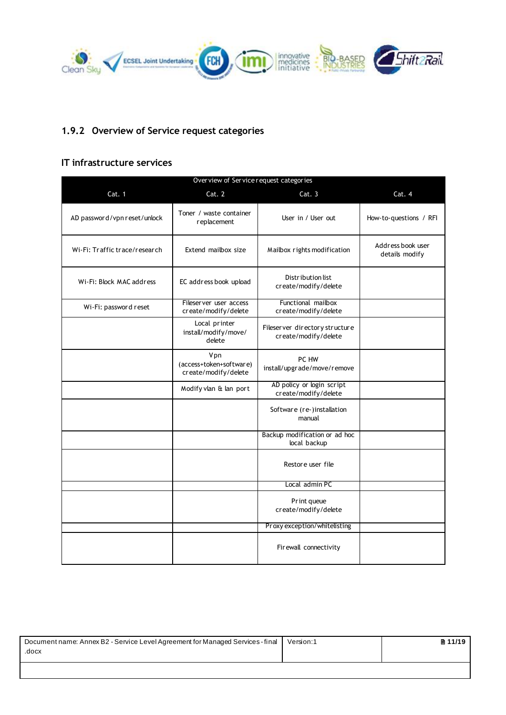

# <span id="page-10-0"></span>**1.9.2 Overview of Service request categories**

#### **IT infrastructure services**

| Over view of Service request categories |                                                        |                                                        |                                     |  |
|-----------------------------------------|--------------------------------------------------------|--------------------------------------------------------|-------------------------------------|--|
| Cat. 1                                  | Cat. 2                                                 | Cat.3                                                  | Cat. 4                              |  |
| AD password/vpn reset/unlock            | Toner / waste container<br>replacement                 | User in / User out                                     | How-to-questions / RFI              |  |
| Wi-Fi: Traffic trace/research           | Extend mailbox size                                    | Mailbox rights modification                            | Address book user<br>details modify |  |
| Wi-Fi: Block MAC address                | EC address book upload                                 | Distribution list<br>create/modify/delete              |                                     |  |
| Wi-Fi: password reset                   | Fileserver user access<br>create/modify/delete         | Functional mailbox<br>create/modify/delete             |                                     |  |
|                                         | Local printer<br>install/modify/move/<br>delete        | Fileserver directory structure<br>create/modify/delete |                                     |  |
|                                         | Vpn<br>(access+token+software)<br>create/modify/delete | PC HW<br>install/upgrade/move/remove                   |                                     |  |
|                                         | Modify vlan & lan port                                 | AD policy or login script<br>create/modify/delete      |                                     |  |
|                                         |                                                        | Software (re-)installation<br>manual                   |                                     |  |
|                                         |                                                        | Backup modification or ad hoc<br>local backup          |                                     |  |
|                                         |                                                        | Restore user file                                      |                                     |  |
|                                         |                                                        | Local admin PC                                         |                                     |  |
|                                         |                                                        | Print queue<br>create/modify/delete                    |                                     |  |
|                                         |                                                        | Proxy exception/whitelisting                           |                                     |  |
|                                         |                                                        | Firewall connectivity                                  |                                     |  |

| Document name: Annex B2 - Service Level Agreement for Managed Services - final<br>.docx | Version:1 | ■ 11/19 |
|-----------------------------------------------------------------------------------------|-----------|---------|
|                                                                                         |           |         |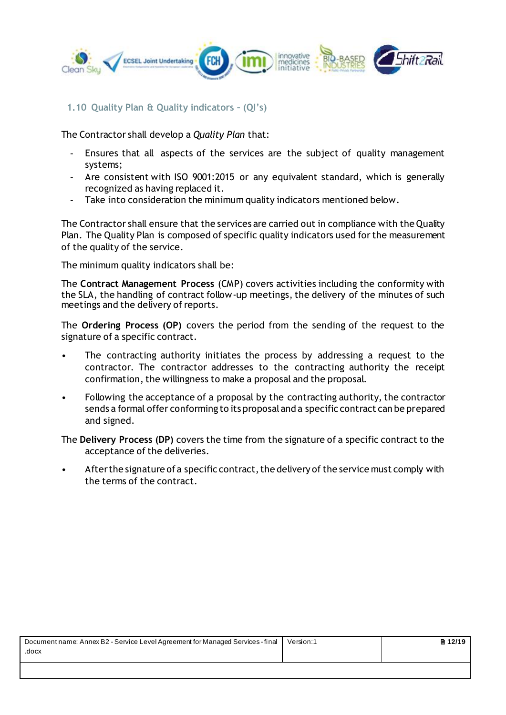

#### <span id="page-11-0"></span>**1.10 Quality Plan & Quality indicators – (QI's)**

The Contractor shall develop a *Quality Plan* that:

- Ensures that all aspects of the services are the subject of quality management systems;
- Are consistent with ISO 9001:2015 or any equivalent standard, which is generally recognized as having replaced it.
- Take into consideration the minimum quality indicators mentioned below.

The Contractor shall ensure that the services are carried out in compliance with the Quality Plan. The Quality Plan is composed of specific quality indicators used for the measurement of the quality of the service.

The minimum quality indicators shall be:

The **Contract Management Process** (CMP) covers activities including the conformity with the SLA, the handling of contract follow-up meetings, the delivery of the minutes of such meetings and the delivery of reports.

The **Ordering Process (OP)** covers the period from the sending of the request to the signature of a specific contract.

- The contracting authority initiates the process by addressing a request to the contractor. The contractor addresses to the contracting authority the receipt confirmation, the willingness to make a proposal and the proposal.
- Following the acceptance of a proposal by the contracting authority, the contractor sends a formal offer conforming to its proposal and a specific contract can be prepared and signed.

The **Delivery Process (DP)** covers the time from the signature of a specific contract to the acceptance of the deliveries.

• After the signature of a specific contract, the delivery of the service must comply with the terms of the contract.

| Document name: Annex B2 - Service Level Agreement for Managed Services - final | Version:1 | $\ln 12/19$ |
|--------------------------------------------------------------------------------|-----------|-------------|
| .docx                                                                          |           |             |
|                                                                                |           |             |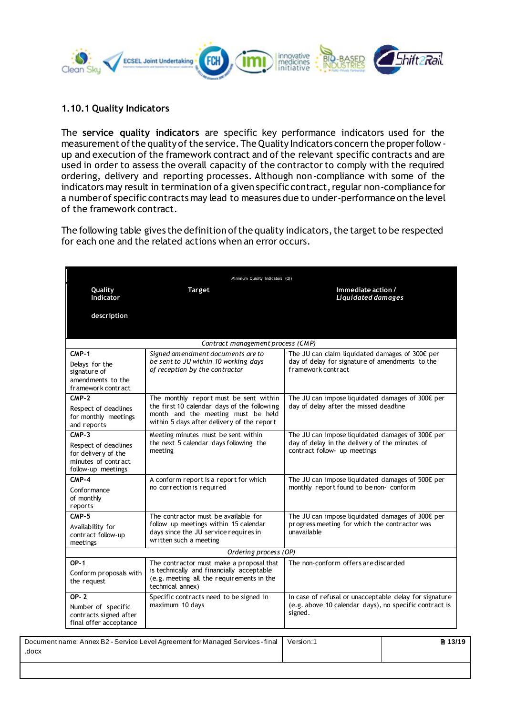

#### <span id="page-12-0"></span>**1.10.1 Quality Indicators**

The **service quality indicators** are specific key performance indicators used for the measurement of the quality of the service. The Quality Indicators concern the proper follow up and execution of the framework contract and of the relevant specific contracts and are used in order to assess the overall capacity of the contractor to comply with the required ordering, delivery and reporting processes. Although non-compliance with some of the indicators may result in termination of a given specific contract, regular non-compliance for a number of specific contracts may lead to measures due to under-performance on the level of the framework contract.

The following table gives the definition of the quality indicators, the target to be respected for each one and the related actions when an error occurs.

| Minimum Quality Indicators (QI)                                                                     |                                                                                                                                                                           |                                                                                                                                    |  |  |
|-----------------------------------------------------------------------------------------------------|---------------------------------------------------------------------------------------------------------------------------------------------------------------------------|------------------------------------------------------------------------------------------------------------------------------------|--|--|
| Quality<br>Indicator                                                                                | <b>Target</b>                                                                                                                                                             | Immediate action /<br>Liquidated damages                                                                                           |  |  |
| description                                                                                         |                                                                                                                                                                           |                                                                                                                                    |  |  |
|                                                                                                     | Contract management process (CMP)                                                                                                                                         |                                                                                                                                    |  |  |
| $CMP-1$<br>Delays for the<br>signature of<br>amendments to the<br>framework contract                | Signed amendment documents are to<br>be sent to JU within 10 working days<br>of reception by the contractor                                                               | The JU can claim liquidated damages of 300€ per<br>day of delay for signature of amendments to the<br>framework contract           |  |  |
| $CMP-2$<br>Respect of deadlines<br>for monthly meetings<br>and reports                              | The monthly report must be sent within<br>the first 10 calendar days of the following<br>month and the meeting must be held<br>within 5 days after delivery of the report | The JU can impose liquidated damages of 300€ per<br>day of delay after the missed deadline                                         |  |  |
| $CMP-3$<br>Respect of deadlines<br>for delivery of the<br>minutes of contract<br>follow-up meetings | Meeting minutes must be sent within<br>the next 5 calendar days following the<br>meeting                                                                                  | The JU can impose liquidated damages of 300€ per<br>day of delay in the delivery of the minutes of<br>contract follow- up meetings |  |  |
| $CMP-4$<br>Confor mance<br>of monthly<br>reports                                                    | A conform report is a report for which<br>no correction is required                                                                                                       | The JU can impose liquidated damages of 500€ per<br>monthly report found to be non- conform                                        |  |  |
| $CMP-5$<br>Availability for<br>contract follow-up<br>meetings                                       | The contractor must be available for<br>follow up meetings within 15 calendar<br>days since the JU service requires in<br>written such a meeting                          | The JU can impose liquidated damages of $300\epsilon perprogress meeting for which the contractor wasunavailable$                  |  |  |
|                                                                                                     | Ordering process (OP)                                                                                                                                                     |                                                                                                                                    |  |  |
| $OP-1$<br>Conform proposals with<br>the request                                                     | The contractor must make a proposal that<br>is technically and financially acceptable<br>(e.g. meeting all the requirements in the<br>technical annex)                    | The non-conform offers are discarded                                                                                               |  |  |
| $OP - 2$<br>Number of specific<br>contracts signed after<br>final offer acceptance                  | Specific contracts need to be signed in<br>maximum 10 days                                                                                                                | In case of refusal or unacceptable delay for signature<br>(e.g. above 10 calendar days), no specific contract is<br>signed.        |  |  |

| Document name: Annex B2 - Service Level Agreement for Managed Services - final   Version:1 | ■ 13/19 |
|--------------------------------------------------------------------------------------------|---------|
| .docx                                                                                      |         |
|                                                                                            |         |
|                                                                                            |         |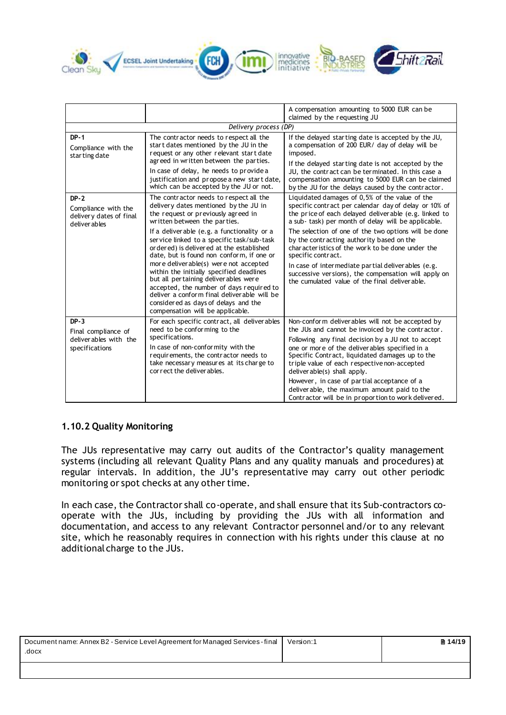

|                                                                           |                                                                                                                                                                                                                                                                                                                                                                                                                                                                                                                                                                                                                                                    | A compensation amounting to 5000 EUR can be                                                                                                                                                                                                                                                                                                                                                                                                                                                                                                                           |
|---------------------------------------------------------------------------|----------------------------------------------------------------------------------------------------------------------------------------------------------------------------------------------------------------------------------------------------------------------------------------------------------------------------------------------------------------------------------------------------------------------------------------------------------------------------------------------------------------------------------------------------------------------------------------------------------------------------------------------------|-----------------------------------------------------------------------------------------------------------------------------------------------------------------------------------------------------------------------------------------------------------------------------------------------------------------------------------------------------------------------------------------------------------------------------------------------------------------------------------------------------------------------------------------------------------------------|
|                                                                           |                                                                                                                                                                                                                                                                                                                                                                                                                                                                                                                                                                                                                                                    | claimed by the requesting JU                                                                                                                                                                                                                                                                                                                                                                                                                                                                                                                                          |
|                                                                           | Delivery process (DP)                                                                                                                                                                                                                                                                                                                                                                                                                                                                                                                                                                                                                              |                                                                                                                                                                                                                                                                                                                                                                                                                                                                                                                                                                       |
| $DP-1$<br>Compliance with the<br>starting date                            | The contractor needs to respect all the<br>start dates mentioned by the JU in the<br>request or any other relevant start date<br>agreed in written between the parties.<br>In case of delay, he needs to provide a<br>justification and propose a new start date,<br>which can be accepted by the JU or not.                                                                                                                                                                                                                                                                                                                                       | If the delayed starting date is accepted by the JU,<br>a compensation of 200 EUR/ day of delay will be<br>imposed.<br>If the delayed starting date is not accepted by the<br>JU, the contract can be terminated. In this case a<br>compensation amounting to 5000 EUR can be claimed<br>by the JU for the delays caused by the contractor.                                                                                                                                                                                                                            |
| $DP-2$<br>Compliance with the<br>delivery dates of final<br>deliver ables | The contractor needs to respect all the<br>delivery dates mentioned by the JU in<br>the request or previously agreed in<br>written between the parties.<br>If a deliverable (e.g. a functionality or a<br>service linked to a specific task/sub-task<br>or dered) is delivered at the established<br>date, but is found non conform, if one or<br>more deliverable(s) were not accepted<br>within the initially specified deadlines<br>but all pertaining deliverables were<br>accepted, the number of days required to<br>deliver a conform final deliverable will be<br>considered as days of delays and the<br>compensation will be applicable. | Liquidated damages of 0,5% of the value of the<br>specific contract per calendar day of delay or 10% of<br>the price of each delayed deliverable (e.g. linked to<br>a sub- task) per month of delay will be applicable.<br>The selection of one of the two options will be done<br>by the contracting authority based on the<br>characteristics of the work to be done under the<br>specific contract.<br>In case of intermediate partial deliverables (e.g.<br>successive versions), the compensation will apply on<br>the cumulated value of the final deliverable. |
| $DP-3$<br>Final compliance of<br>deliverables with the<br>specifications  | For each specific contract, all deliverables<br>need to be conforming to the<br>specifications.<br>In case of non-conformity with the<br>requirements, the contractor needs to<br>take necessary measures at its charge to<br>correct the deliverables.                                                                                                                                                                                                                                                                                                                                                                                            | Non-conform deliverables will not be accepted by<br>the JUs and cannot be invoiced by the contractor.<br>Following any final decision by a JU not to accept<br>one or more of the deliverables specified in a<br>Specific Contract, liquidated damages up to the<br>triple value of each respective non-accepted<br>deliver able(s) shall apply.<br>However, in case of partial acceptance of a<br>deliverable, the maximum amount paid to the<br>Contractor will be in proportion to work delivered.                                                                 |

# <span id="page-13-0"></span>**1.10.2 Quality Monitoring**

The JUs representative may carry out audits of the Contractor's quality management systems (including all relevant Quality Plans and any quality manuals and procedures) at regular intervals. In addition, the JU's representative may carry out other periodic monitoring or spot checks at any other time.

In each case, the Contractor shall co-operate, and shall ensure that its Sub-contractors cooperate with the JUs, including by providing the JUs with all information and documentation, and access to any relevant Contractor personnel and/or to any relevant site, which he reasonably requires in connection with his rights under this clause at no additional charge to the JUs.

| Document name: Annex B2 - Service Level Agreement for Managed Services - final<br>.docx | Version:1 | ■ 14/19 |
|-----------------------------------------------------------------------------------------|-----------|---------|
|                                                                                         |           |         |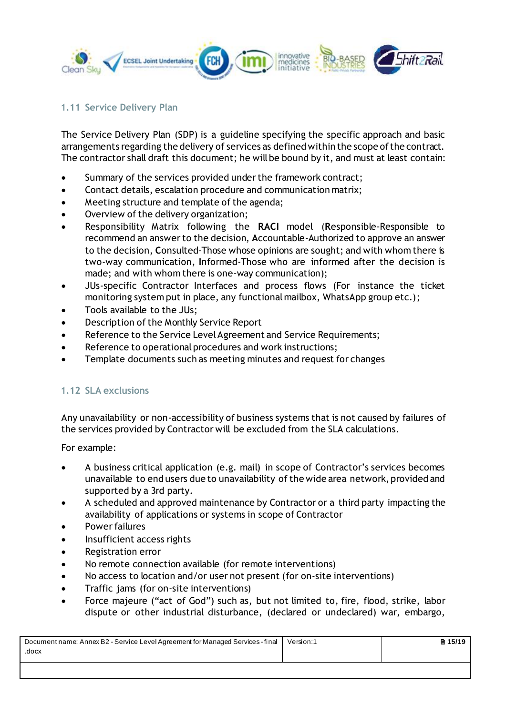

# <span id="page-14-0"></span>**1.11 Service Delivery Plan**

The Service Delivery Plan (SDP) is a guideline specifying the specific approach and basic arrangements regarding the delivery of services as defined within the scope of the contract. The contractor shall draft this document; he will be bound by it, and must at least contain:

- Summary of the services provided under the framework contract;
- Contact details, escalation procedure and communication matrix;
- Meeting structure and template of the agenda;
- Overview of the delivery organization;
- Responsibility Matrix following the **RACI** model (**R**esponsible-Responsible to recommend an answer to the decision, **A**ccountable-Authorized to approve an answer to the decision, **C**onsulted-Those whose opinions are sought; and with whom there is two-way communication, **I**nformed-Those who are informed after the decision is made; and with whom there is one-way communication);
- JUs-specific Contractor Interfaces and process flows (For instance the ticket monitoring system put in place, any functional mailbox, WhatsApp group etc.);
- Tools available to the JUs;
- Description of the Monthly Service Report
- Reference to the Service Level Agreement and Service Requirements;
- Reference to operational procedures and work instructions;
- <span id="page-14-1"></span>Template documents such as meeting minutes and request for changes

# **1.12 SLA exclusions**

Any unavailability or non-accessibility of business systems that is not caused by failures of the services provided by Contractor will be excluded from the SLA calculations.

For example:

- A business critical application (e.g. mail) in scope of Contractor's services becomes unavailable to end users due to unavailability of the wide area network, provided and supported by a 3rd party.
- A scheduled and approved maintenance by Contractor or a third party impacting the availability of applications or systems in scope of Contractor
- Power failures
- Insufficient access rights
- Registration error
- No remote connection available (for remote interventions)
- No access to location and/or user not present (for on-site interventions)
- Traffic jams (for on-site interventions)
- Force majeure ("act of God") such as, but not limited to, fire, flood, strike, labor dispute or other industrial disturbance, (declared or undeclared) war, embargo,

| Document name: Annex B2 - Service Level Agreement for Managed Services - final | Version:1 | ■ 15/19 |
|--------------------------------------------------------------------------------|-----------|---------|
| .docx                                                                          |           |         |
|                                                                                |           |         |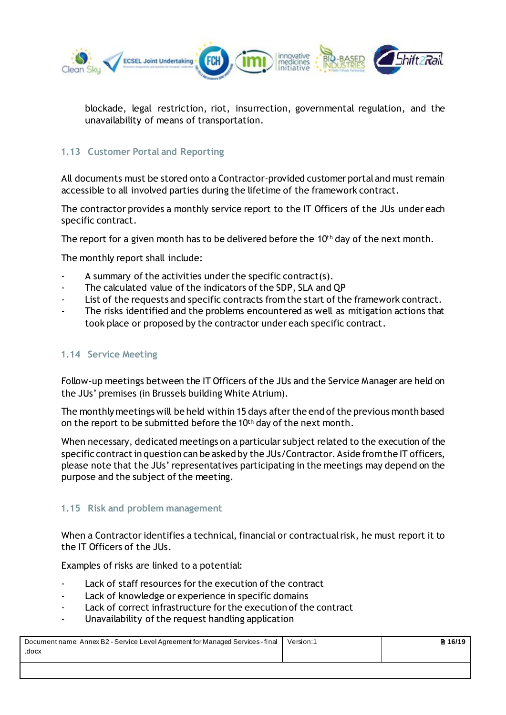

<span id="page-15-0"></span>blockade, legal restriction, riot, insurrection, governmental regulation, and the unavailability of means of transportation.

# **1.13 Customer Portal and Reporting**

All documents must be stored onto a Contractor-provided customer portal and must remain accessible to all involved parties during the lifetime of the framework contract.

The contractor provides a monthly service report to the IT Officers of the JUs under each specific contract.

The report for a given month has to be delivered before the  $10<sup>th</sup>$  day of the next month.

The monthly report shall include:

- A summary of the activities under the specific contract(s).
- The calculated value of the indicators of the SDP, SLA and QP
- List of the requests and specific contracts from the start of the framework contract.
- The risks identified and the problems encountered as well as mitigation actions that took place or proposed by the contractor under each specific contract.

# <span id="page-15-1"></span>**1.14 Service Meeting**

Follow-up meetings between the IT Officers of the JUs and the Service Manager are held on the JUs' premises (in Brussels building White Atrium).

The monthly meetings will be held within 15 days after the end of the previous month based on the report to be submitted before the 10th day of the next month.

When necessary, dedicated meetings on a particular subject related to the execution of the specific contract in question can be asked by the JUs/Contractor. Aside from the IT officers, please note that the JUs' representatives participating in the meetings may depend on the purpose and the subject of the meeting.

#### <span id="page-15-2"></span>**1.15 Risk and problem management**

When a Contractor identifies a technical, financial or contractual risk, he must report it to the IT Officers of the JUs.

Examples of risks are linked to a potential:

- Lack of staff resources for the execution of the contract
- Lack of knowledge or experience in specific domains
- Lack of correct infrastructure for the execution of the contract
- Unavailability of the request handling application

| Document name: Annex B2 - Service Level Agreement for Managed Services - final | Version:1 | ■ 16/19 |
|--------------------------------------------------------------------------------|-----------|---------|
| .docx                                                                          |           |         |
|                                                                                |           |         |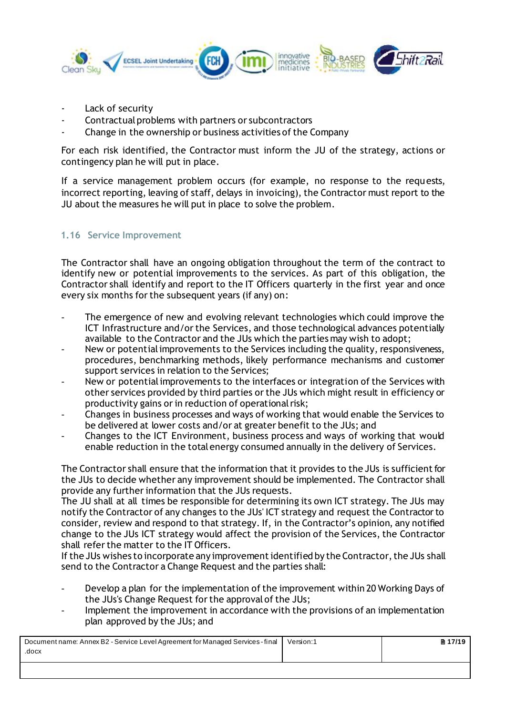

- Lack of security
- Contractual problems with partners or subcontractors
- Change in the ownership or business activities of the Company

For each risk identified, the Contractor must inform the JU of the strategy, actions or contingency plan he will put in place.

If a service management problem occurs (for example, no response to the requests, incorrect reporting, leaving of staff, delays in invoicing), the Contractor must report to the JU about the measures he will put in place to solve the problem.

# <span id="page-16-0"></span>**1.16 Service Improvement**

The Contractor shall have an ongoing obligation throughout the term of the contract to identify new or potential improvements to the services. As part of this obligation, the Contractor shall identify and report to the IT Officers quarterly in the first year and once every six months for the subsequent years (if any) on:

- The emergence of new and evolving relevant technologies which could improve the ICT Infrastructure and/or the Services, and those technological advances potentially available to the Contractor and the JUs which the parties may wish to adopt;
- New or potential improvements to the Services including the quality, responsiveness, procedures, benchmarking methods, likely performance mechanisms and customer support services in relation to the Services;
- New or potential improvements to the interfaces or integration of the Services with other services provided by third parties or the JUs which might result in efficiency or productivity gains or in reduction of operational risk;
- Changes in business processes and ways of working that would enable the Services to be delivered at lower costs and/or at greater benefit to the JUs; and
- Changes to the ICT Environment, business process and ways of working that would enable reduction in the total energy consumed annually in the delivery of Services.

The Contractor shall ensure that the information that it provides to the JUs is sufficient for the JUs to decide whether any improvement should be implemented. The Contractor shall provide any further information that the JUs requests.

The JU shall at all times be responsible for determining its own ICT strategy. The JUs may notify the Contractor of any changes to the JUs' ICT strategy and request the Contractor to consider, review and respond to that strategy. If, in the Contractor's opinion, any notified change to the JUs ICT strategy would affect the provision of the Services, the Contractor shall refer the matter to the IT Officers.

If the JUs wishes to incorporate any improvement identified by the Contractor,the JUs shall send to the Contractor a Change Request and the parties shall:

- Develop a plan for the implementation of the improvement within 20 Working Days of the JUs's Change Request for the approval of the JUs;
- Implement the improvement in accordance with the provisions of an implementation plan approved by the JUs; and

| Document name: Annex B2 - Service Level Agreement for Managed Services - final | Version:1 | <b>■ 17/19 Ⅰ</b> |
|--------------------------------------------------------------------------------|-----------|------------------|
| .docx                                                                          |           |                  |
|                                                                                |           |                  |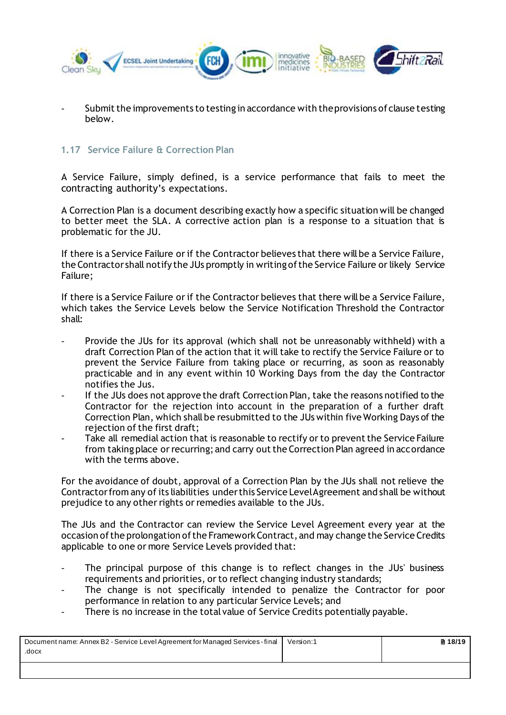

Submit the improvements to testing in accordance with the provisions of clause testing below.

#### <span id="page-17-0"></span>**1.17 Service Failure & Correction Plan**

A Service Failure, simply defined, is a service performance that fails to meet the contracting authority's expectations.

A Correction Plan is a document describing exactly how a specific situation will be changed to better meet the SLA. A corrective action plan is a response to a situation that is problematic for the JU.

If there is a Service Failure or if the Contractor believes that there will be a Service Failure, the Contractor shall notify the JUs promptly in writing of the Service Failure or likely Service Failure;

If there is a Service Failure or if the Contractor believes that there will be a Service Failure, which takes the Service Levels below the Service Notification Threshold the Contractor shall:

- Provide the JUs for its approval (which shall not be unreasonably withheld) with a draft Correction Plan of the action that it will take to rectify the Service Failure or to prevent the Service Failure from taking place or recurring, as soon as reasonably practicable and in any event within 10 Working Days from the day the Contractor notifies the Jus.
- If the JUs does not approve the draft Correction Plan, take the reasons notified to the Contractor for the rejection into account in the preparation of a further draft Correction Plan, which shall be resubmitted to the JUs within five Working Days of the rejection of the first draft;
- Take all remedial action that is reasonable to rectify or to prevent the Service Failure from taking place or recurring; and carry out the Correction Plan agreed in accordance with the terms above.

For the avoidance of doubt, approval of a Correction Plan by the JUs shall not relieve the Contractor from any of its liabilities under this Service Level Agreement and shall be without prejudice to any other rights or remedies available to the JUs.

The JUs and the Contractor can review the Service Level Agreement every year at the occasion of the prolongation of the Framework Contract, and may change the Service Credits applicable to one or more Service Levels provided that:

- The principal purpose of this change is to reflect changes in the JUs' business requirements and priorities, or to reflect changing industry standards;
- The change is not specifically intended to penalize the Contractor for poor performance in relation to any particular Service Levels; and
- There is no increase in the total value of Service Credits potentially payable.

| Document name: Annex B2 - Service Level Agreement for Managed Services - final | Version:1 | ■ 18/19 |
|--------------------------------------------------------------------------------|-----------|---------|
| .docx                                                                          |           |         |
|                                                                                |           |         |